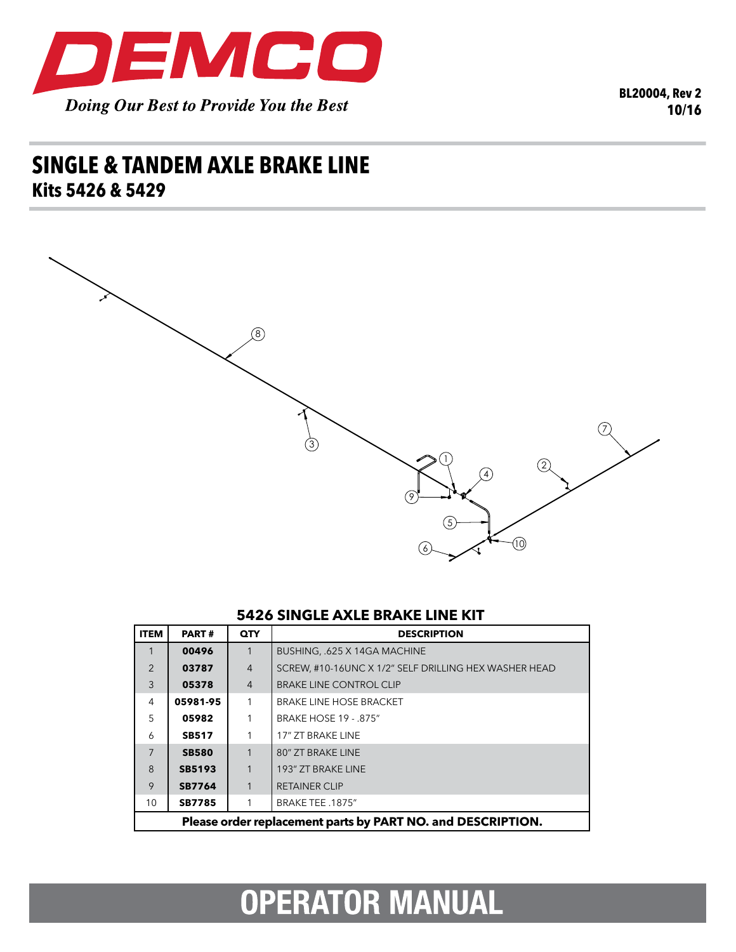

**BL20004, Rev 2** 10/16

## **SINGLE & TANDEM AXLE BRAKE LINE** Kits 5426 & 5429



## **5426 SINGLE AXLE BRAKE LINE KIT**

| <b>ITEM</b>    | <b>PART#</b>                                                | <b>QTY</b>     | <b>DESCRIPTION</b>                                    |  |  |
|----------------|-------------------------------------------------------------|----------------|-------------------------------------------------------|--|--|
|                | 00496                                                       | 1              | BUSHING, .625 X 14GA MACHINE                          |  |  |
| $\mathfrak{D}$ | 03787                                                       | $\overline{4}$ | SCREW, #10-16UNC X 1/2" SELF DRILLING HEX WASHER HEAD |  |  |
| 3              | 05378                                                       | $\overline{4}$ | <b>BRAKE LINE CONTROL CLIP</b>                        |  |  |
| 4              | 05981-95                                                    | 1              | <b>BRAKE LINE HOSE BRACKET</b>                        |  |  |
| 5              | 05982                                                       |                | <b>BRAKE HOSE 19 - .875"</b>                          |  |  |
| 6              | <b>SB517</b>                                                | 1              | 17" ZT BRAKE LINE                                     |  |  |
| $\overline{7}$ | <b>SB580</b>                                                | 1              | 80" ZT BRAKE LINE                                     |  |  |
| $\mathsf{B}$   | SB5193                                                      | 1              | 193" ZT BRAKE LINE                                    |  |  |
| 9              | <b>SB7764</b>                                               | 1              | <b>RETAINER CLIP</b>                                  |  |  |
| 10             | <b>SB7785</b>                                               |                | BRAKE TEE .1875"                                      |  |  |
|                | Please order replacement parts by PART NO. and DESCRIPTION. |                |                                                       |  |  |

## **OPERATOR MANUAL**